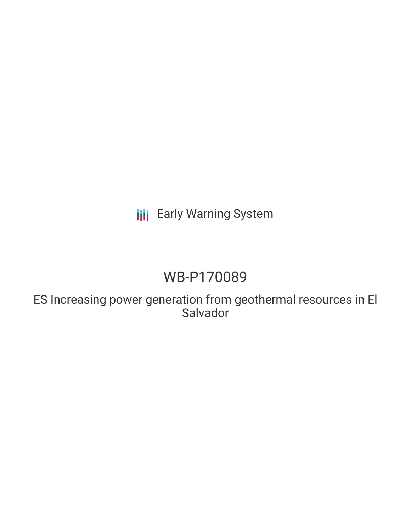# **III** Early Warning System

# WB-P170089

ES Increasing power generation from geothermal resources in El Salvador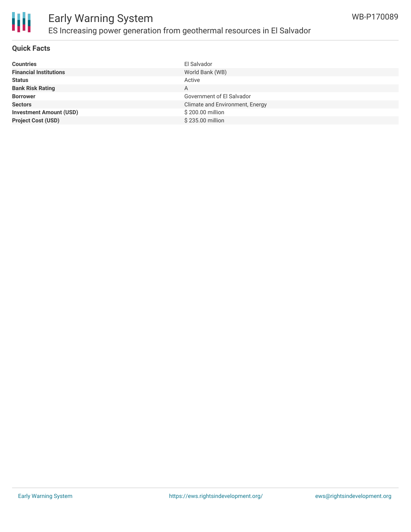

#### **Quick Facts**

| El Salvador                     |
|---------------------------------|
| World Bank (WB)                 |
| Active                          |
| A                               |
| Government of El Salvador       |
| Climate and Environment, Energy |
| \$200.00 million                |
| \$235.00 million                |
|                                 |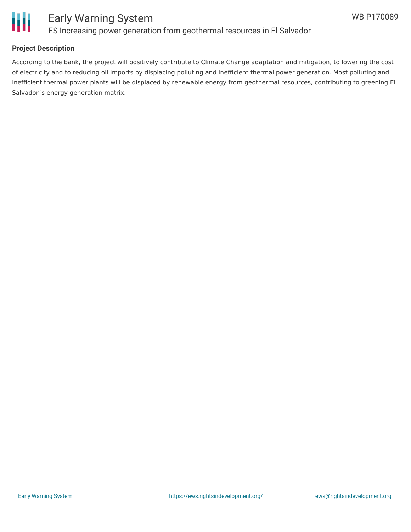

#### **Project Description**

According to the bank, the project will positively contribute to Climate Change adaptation and mitigation, to lowering the cost of electricity and to reducing oil imports by displacing polluting and inefficient thermal power generation. Most polluting and inefficient thermal power plants will be displaced by renewable energy from geothermal resources, contributing to greening El Salvador´s energy generation matrix.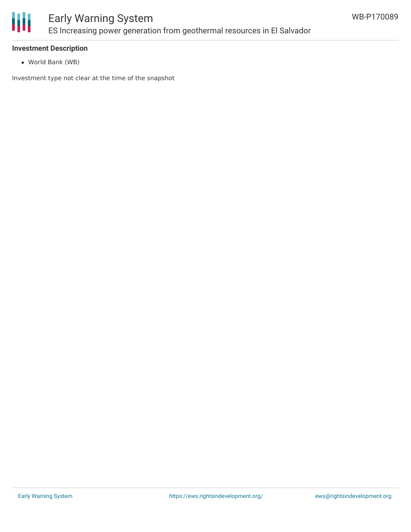

### Early Warning System ES Increasing power generation from geothermal resources in El Salvador

#### **Investment Description**

World Bank (WB)

Investment type not clear at the time of the snapshot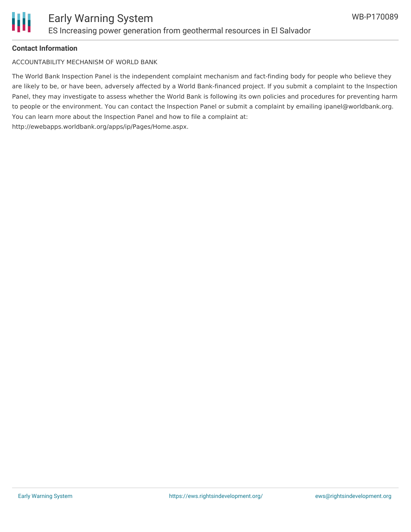

#### **Contact Information**

ACCOUNTABILITY MECHANISM OF WORLD BANK

The World Bank Inspection Panel is the independent complaint mechanism and fact-finding body for people who believe they are likely to be, or have been, adversely affected by a World Bank-financed project. If you submit a complaint to the Inspection Panel, they may investigate to assess whether the World Bank is following its own policies and procedures for preventing harm to people or the environment. You can contact the Inspection Panel or submit a complaint by emailing ipanel@worldbank.org. You can learn more about the Inspection Panel and how to file a complaint at: http://ewebapps.worldbank.org/apps/ip/Pages/Home.aspx.